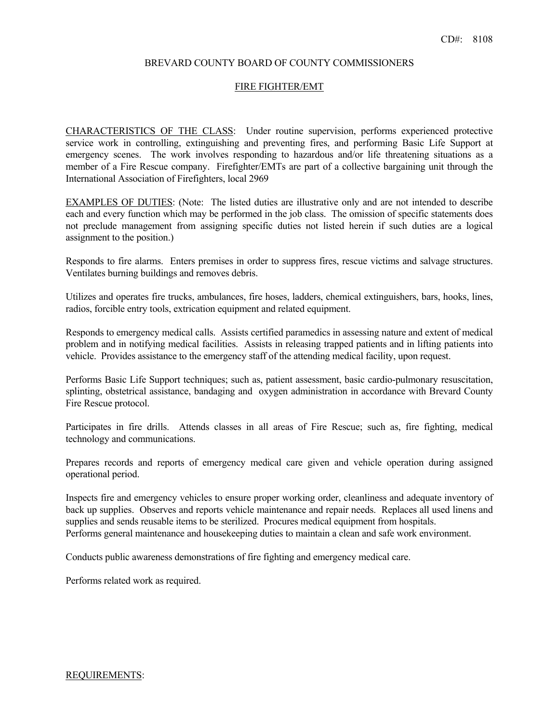## BREVARD COUNTY BOARD OF COUNTY COMMISSIONERS

#### FIRE FIGHTER/EMT

CHARACTERISTICS OF THE CLASS: Under routine supervision, performs experienced protective service work in controlling, extinguishing and preventing fires, and performing Basic Life Support at emergency scenes. The work involves responding to hazardous and/or life threatening situations as a member of a Fire Rescue company. Firefighter/EMTs are part of a collective bargaining unit through the International Association of Firefighters, local 2969

EXAMPLES OF DUTIES: (Note: The listed duties are illustrative only and are not intended to describe each and every function which may be performed in the job class. The omission of specific statements does not preclude management from assigning specific duties not listed herein if such duties are a logical assignment to the position.)

Responds to fire alarms. Enters premises in order to suppress fires, rescue victims and salvage structures. Ventilates burning buildings and removes debris.

Utilizes and operates fire trucks, ambulances, fire hoses, ladders, chemical extinguishers, bars, hooks, lines, radios, forcible entry tools, extrication equipment and related equipment.

Responds to emergency medical calls. Assists certified paramedics in assessing nature and extent of medical problem and in notifying medical facilities. Assists in releasing trapped patients and in lifting patients into vehicle. Provides assistance to the emergency staff of the attending medical facility, upon request.

Performs Basic Life Support techniques; such as, patient assessment, basic cardio-pulmonary resuscitation, splinting, obstetrical assistance, bandaging and oxygen administration in accordance with Brevard County Fire Rescue protocol.

Participates in fire drills. Attends classes in all areas of Fire Rescue; such as, fire fighting, medical technology and communications.

Prepares records and reports of emergency medical care given and vehicle operation during assigned operational period.

Inspects fire and emergency vehicles to ensure proper working order, cleanliness and adequate inventory of back up supplies. Observes and reports vehicle maintenance and repair needs. Replaces all used linens and supplies and sends reusable items to be sterilized. Procures medical equipment from hospitals. Performs general maintenance and housekeeping duties to maintain a clean and safe work environment.

Conducts public awareness demonstrations of fire fighting and emergency medical care.

Performs related work as required.

#### REQUIREMENTS: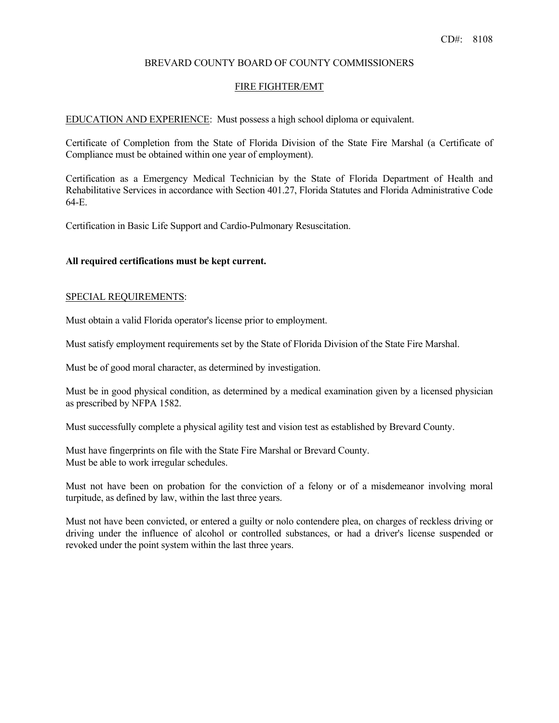## BREVARD COUNTY BOARD OF COUNTY COMMISSIONERS

#### FIRE FIGHTER/EMT

EDUCATION AND EXPERIENCE: Must possess a high school diploma or equivalent.

Certificate of Completion from the State of Florida Division of the State Fire Marshal (a Certificate of Compliance must be obtained within one year of employment).

Certification as a Emergency Medical Technician by the State of Florida Department of Health and Rehabilitative Services in accordance with Section 401.27, Florida Statutes and Florida Administrative Code 64-E.

Certification in Basic Life Support and Cardio-Pulmonary Resuscitation.

## **All required certifications must be kept current.**

### SPECIAL REQUIREMENTS:

Must obtain a valid Florida operator's license prior to employment.

Must satisfy employment requirements set by the State of Florida Division of the State Fire Marshal.

Must be of good moral character, as determined by investigation.

Must be in good physical condition, as determined by a medical examination given by a licensed physician as prescribed by NFPA 1582.

 Must successfully complete a physical agility test and vision test as established by Brevard County. Must have fingerprints on file with the State Fire Marshal or Brevard County. Must be able to work irregular schedules. Must have fingerprints on file with the State Fire Marshal or Brevard County.

Must not have been on probation for the conviction of a felony or of a misdemeanor involving moral turpitude, as defined by law, within the last three years.

Must not have been convicted, or entered a guilty or nolo contendere plea, on charges of reckless driving or driving under the influence of alcohol or controlled substances, or had a driver's license suspended or revoked under the point system within the last three years.